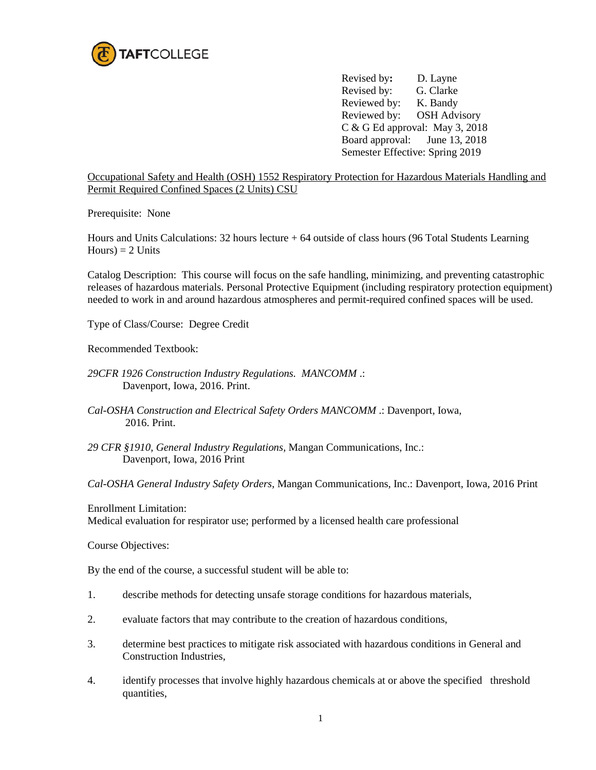

Revised by**:** D. Layne Revised by: G. Clarke Reviewed by: K. Bandy Reviewed by: OSH Advisory C & G Ed approval: May 3, 2018 Board approval: June 13, 2018 Semester Effective: Spring 2019

Occupational Safety and Health (OSH) 1552 Respiratory Protection for Hazardous Materials Handling and Permit Required Confined Spaces (2 Units) CSU

Prerequisite: None

Hours and Units Calculations: 32 hours lecture + 64 outside of class hours (96 Total Students Learning  $Hours$ ) = 2 Units

Catalog Description: This course will focus on the safe handling, minimizing, and preventing catastrophic releases of hazardous materials. Personal Protective Equipment (including respiratory protection equipment) needed to work in and around hazardous atmospheres and permit-required confined spaces will be used.

Type of Class/Course: Degree Credit

Recommended Textbook:

- *29CFR 1926 Construction Industry Regulations. MANCOMM* .: Davenport, Iowa, 2016. Print.
- *Cal-OSHA Construction and Electrical Safety Orders MANCOMM* .: Davenport, Iowa, 2016. Print.
- *29 CFR §1910, General Industry Regulations,* Mangan Communications, Inc.: Davenport, Iowa, 2016 Print

*Cal-OSHA General Industry Safety Orders*, Mangan Communications, Inc.: Davenport, Iowa, 2016 Print

Enrollment Limitation:

Medical evaluation for respirator use; performed by a licensed health care professional

Course Objectives:

By the end of the course, a successful student will be able to:

- 1. describe methods for detecting unsafe storage conditions for hazardous materials,
- 2. evaluate factors that may contribute to the creation of hazardous conditions,
- 3. determine best practices to mitigate risk associated with hazardous conditions in General and Construction Industries,
- 4. identify processes that involve highly hazardous chemicals at or above the specified threshold quantities,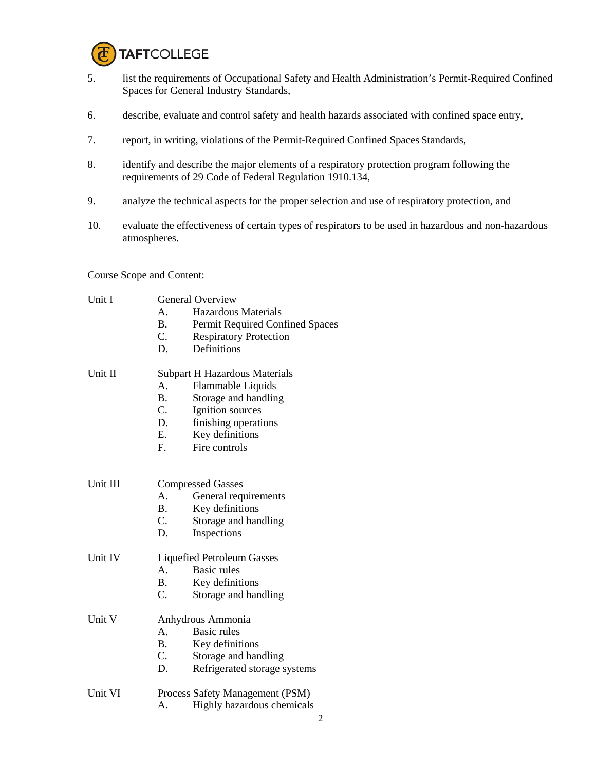

- 5. list the requirements of Occupational Safety and Health Administration's Permit-Required Confined Spaces for General Industry Standards,
- 6. describe, evaluate and control safety and health hazards associated with confined space entry,
- 7. report, in writing, violations of the Permit-Required Confined Spaces Standards,
- 8. identify and describe the major elements of a respiratory protection program following the requirements of 29 Code of Federal Regulation 1910.134,
- 9. analyze the technical aspects for the proper selection and use of respiratory protection, and
- 10. evaluate the effectiveness of certain types of respirators to be used in hazardous and non-hazardous atmospheres.

Course Scope and Content:

| Unit I   | <b>General Overview</b>         |                                      |  |
|----------|---------------------------------|--------------------------------------|--|
|          | A.                              | Hazardous Materials                  |  |
|          | <b>B.</b>                       | Permit Required Confined Spaces      |  |
|          | $C_{\cdot}$                     | <b>Respiratory Protection</b>        |  |
|          | D.                              | Definitions                          |  |
|          |                                 |                                      |  |
| Unit II  |                                 | <b>Subpart H Hazardous Materials</b> |  |
|          | A.                              | Flammable Liquids                    |  |
|          | B.                              | Storage and handling                 |  |
|          | C.                              | Ignition sources                     |  |
|          | D.                              | finishing operations                 |  |
|          | E.                              | Key definitions                      |  |
|          | $F_{\cdot}$                     | Fire controls                        |  |
|          |                                 |                                      |  |
|          |                                 |                                      |  |
| Unit III | <b>Compressed Gasses</b>        |                                      |  |
|          | $A_{-}$                         | General requirements                 |  |
|          | <b>B.</b>                       | Key definitions                      |  |
|          | C.                              | Storage and handling                 |  |
|          | D.                              | Inspections                          |  |
|          |                                 |                                      |  |
| Unit IV  |                                 | <b>Liquefied Petroleum Gasses</b>    |  |
|          | $A_{1}$                         | Basic rules                          |  |
|          | <b>B.</b>                       | Key definitions                      |  |
|          | $C_{\cdot}$                     | Storage and handling                 |  |
| Unit V   | Anhydrous Ammonia               |                                      |  |
|          | А.                              | <b>Basic rules</b>                   |  |
|          | $\mathbf{B}$ .                  | Key definitions                      |  |
|          | C.                              | Storage and handling                 |  |
|          | D.                              |                                      |  |
|          |                                 | Refrigerated storage systems         |  |
| Unit VI  | Process Safety Management (PSM) |                                      |  |
|          |                                 |                                      |  |

A. Highly hazardous chemicals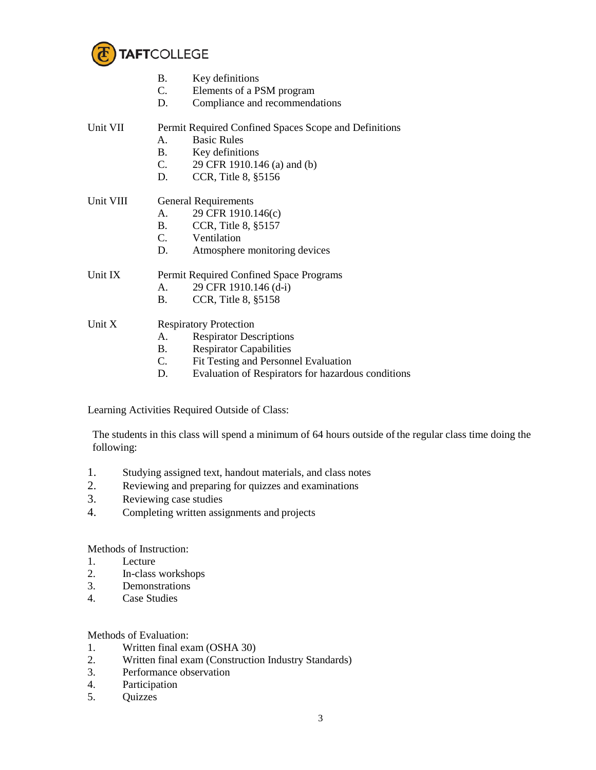

|           | В.                            | Key definitions                                       |  |  |
|-----------|-------------------------------|-------------------------------------------------------|--|--|
|           | C.                            | Elements of a PSM program                             |  |  |
|           | D.                            | Compliance and recommendations                        |  |  |
| Unit VII  |                               | Permit Required Confined Spaces Scope and Definitions |  |  |
|           | А.                            | <b>Basic Rules</b>                                    |  |  |
|           | <b>B.</b>                     | Key definitions                                       |  |  |
|           | C.                            | 29 CFR 1910.146 (a) and (b)                           |  |  |
|           | D.                            | CCR, Title 8, §5156                                   |  |  |
| Unit VIII |                               | <b>General Requirements</b>                           |  |  |
|           | A.                            | 29 CFR 1910.146(c)                                    |  |  |
|           | <b>B.</b>                     | CCR, Title 8, §5157                                   |  |  |
|           | C.                            | Ventilation                                           |  |  |
|           | D.                            | Atmosphere monitoring devices                         |  |  |
| Unit IX   |                               | Permit Required Confined Space Programs               |  |  |
|           | A.                            | 29 CFR 1910.146 (d-i)                                 |  |  |
|           | B.                            | CCR, Title 8, §5158                                   |  |  |
| Unit X    | <b>Respiratory Protection</b> |                                                       |  |  |
|           | A.                            | <b>Respirator Descriptions</b>                        |  |  |
|           | В.                            | <b>Respirator Capabilities</b>                        |  |  |
|           |                               |                                                       |  |  |

- C. Fit Testing and Personnel Evaluation
- D. Evaluation of Respirators for hazardous conditions

Learning Activities Required Outside of Class:

The students in this class will spend a minimum of 64 hours outside of the regular class time doing the following:

- 1. Studying assigned text, handout materials, and class notes
- 2. Reviewing and preparing for quizzes and examinations<br>3. Reviewing case studies
- Reviewing case studies
- 4. Completing written assignments and projects

Methods of Instruction:

- 1. Lecture
- 2. In-class workshops
- 3. Demonstrations
- 4. Case Studies

## Methods of Evaluation:

- 1. Written final exam (OSHA 30)
- 2. Written final exam (Construction Industry Standards)
- 3. Performance observation<br>4. Participation
- Participation
- 5. Quizzes